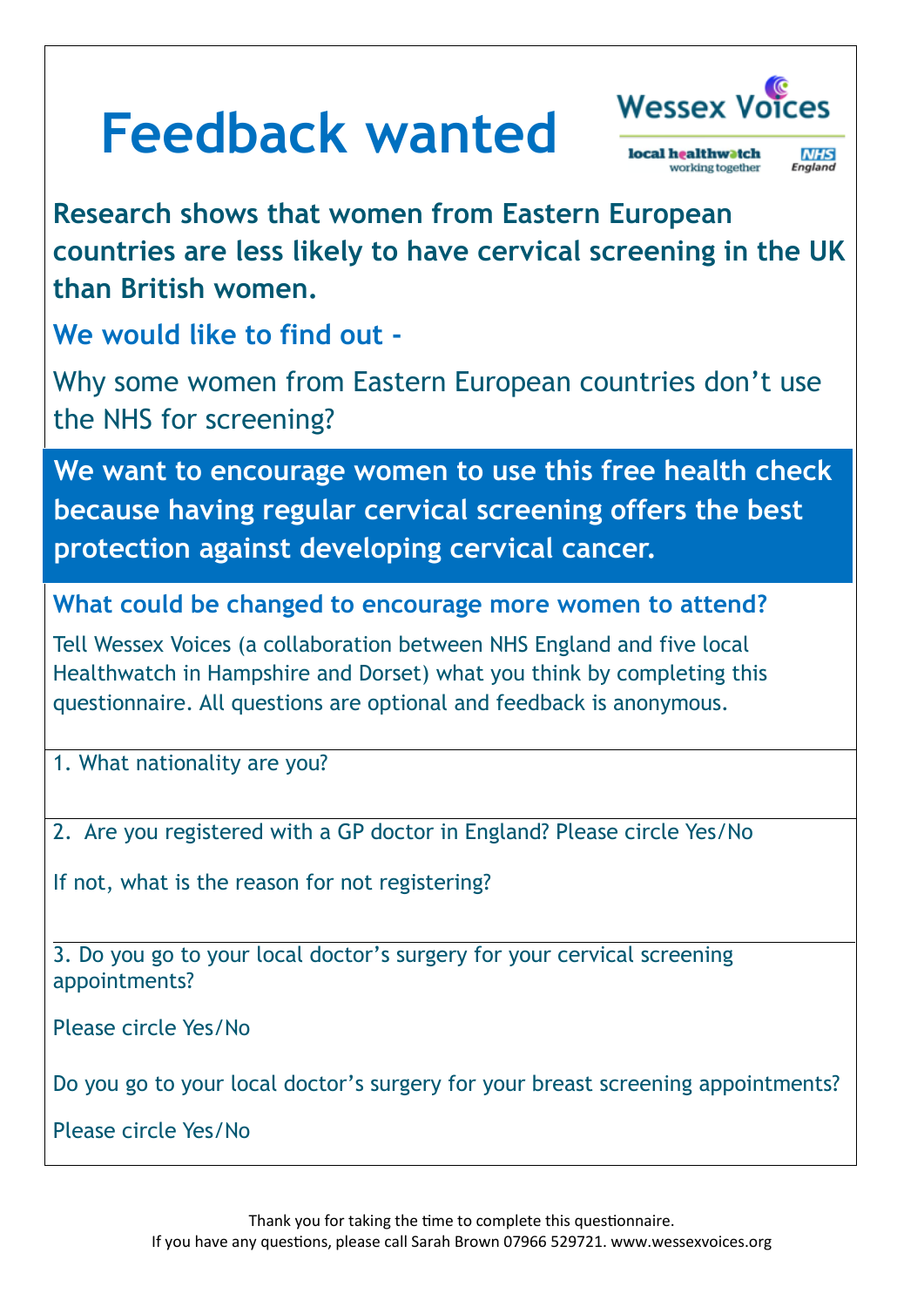## **Feedback wanted**



local healthwatch **NHS**<br>England working together

**Research shows that women from Eastern European countries are less likely to have cervical screening in the UK than British women.** 

**We would like to find out -**

Why some women from Eastern European countries don't use the NHS for screening?

**We want to encourage women to use this free health check because having regular cervical screening offers the best protection against developing cervical cancer.**

**What could be changed to encourage more women to attend?**

Tell Wessex Voices (a collaboration between NHS England and five local Healthwatch in Hampshire and Dorset) what you think by completing this questionnaire. All questions are optional and feedback is anonymous.

1. What nationality are you?

2. Are you registered with a GP doctor in England? Please circle Yes/No

If not, what is the reason for not registering?

3. Do you go to your local doctor's surgery for your cervical screening appointments?

Please circle Yes/No

Do you go to your local doctor's surgery for your breast screening appointments?

Please circle Yes/No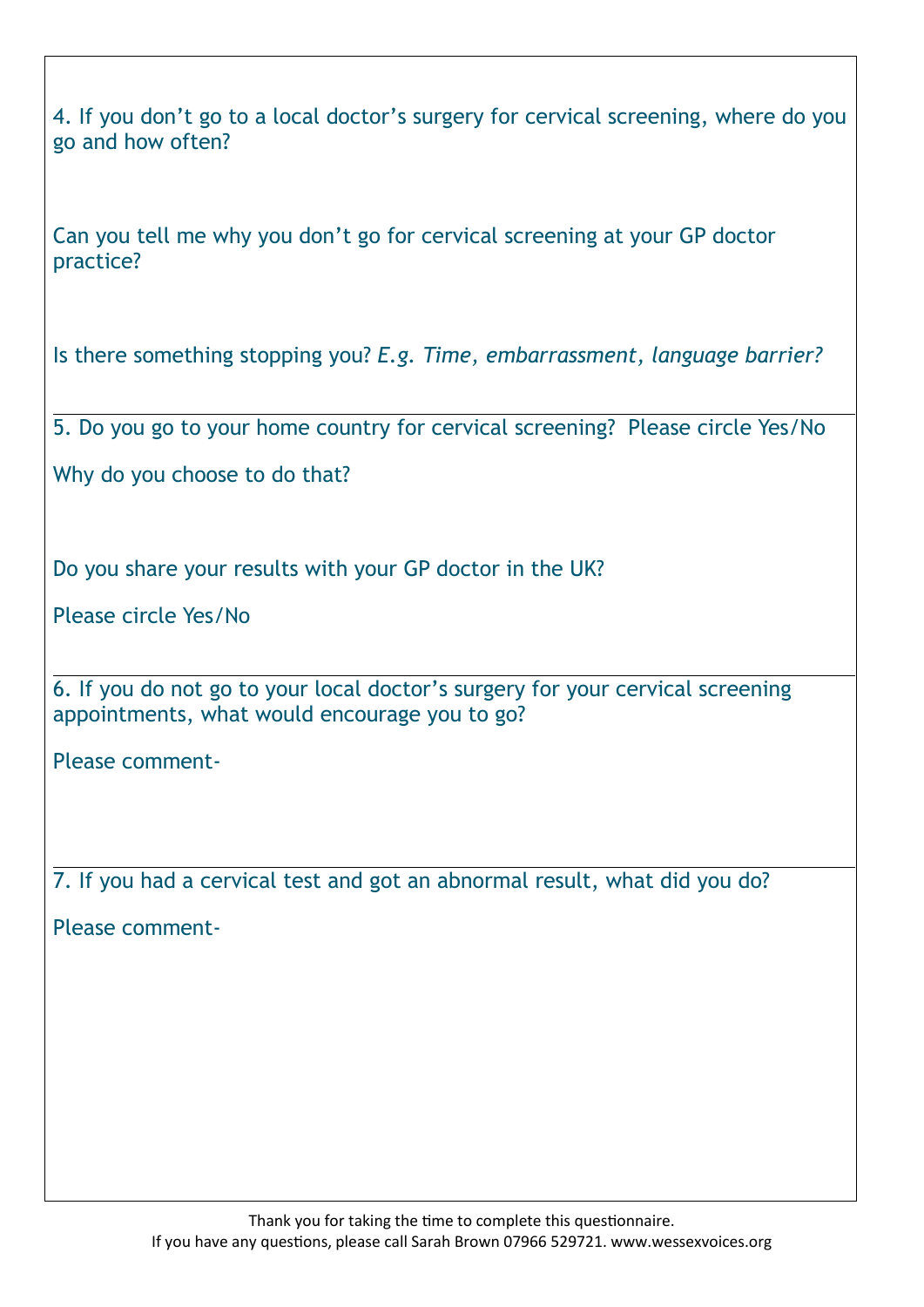4. If you don't go to a local doctor's surgery for cervical screening, where do you go and how often?

Can you tell me why you don't go for cervical screening at your GP doctor practice?

Is there something stopping you? *E.g. Time, embarrassment, language barrier?*

5. Do you go to your home country for cervical screening? Please circle Yes/No

Why do you choose to do that?

Do you share your results with your GP doctor in the UK?

Please circle Yes/No

6. If you do not go to your local doctor's surgery for your cervical screening appointments, what would encourage you to go?

Please comment-

7. If you had a cervical test and got an abnormal result, what did you do?

Please comment-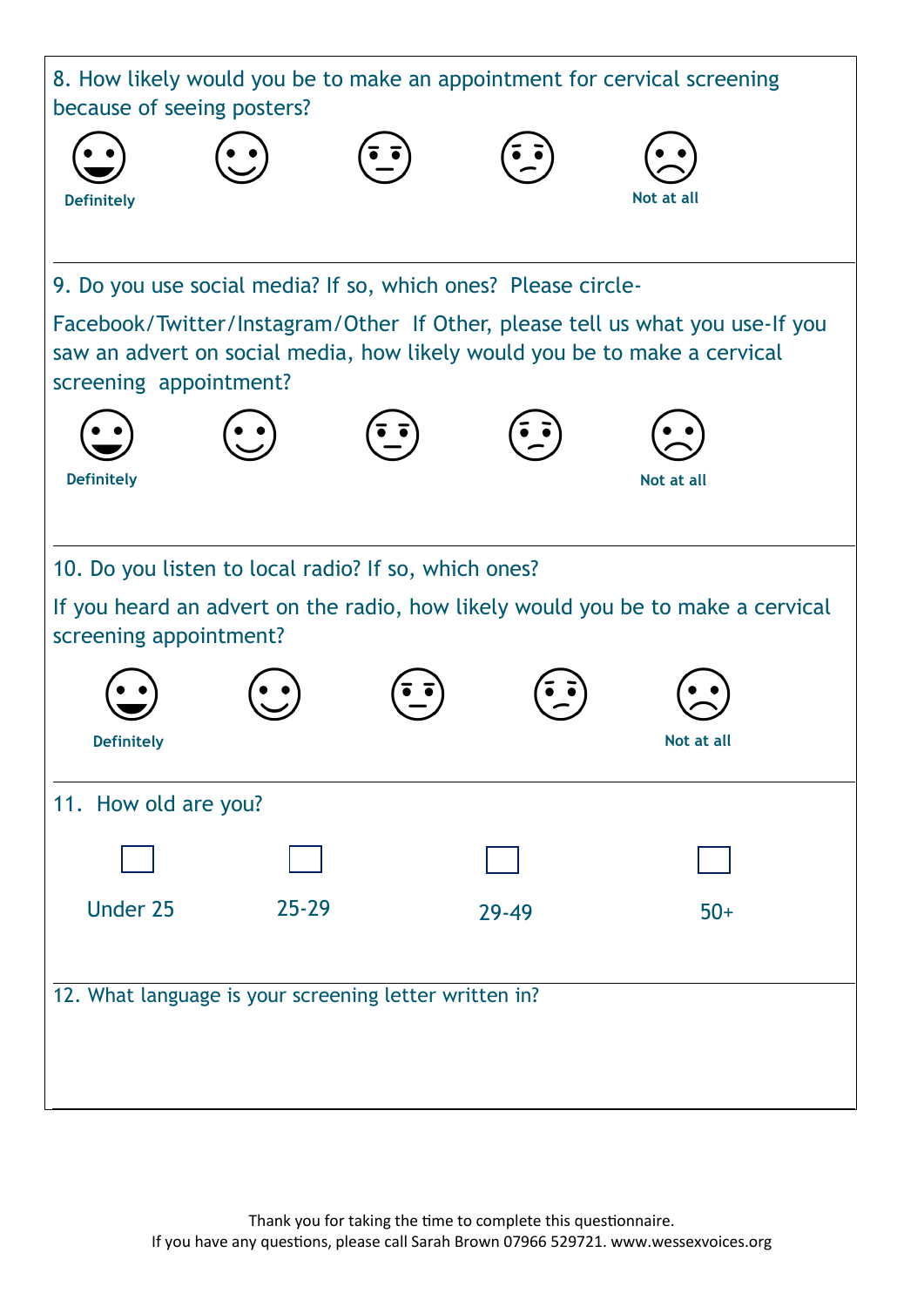